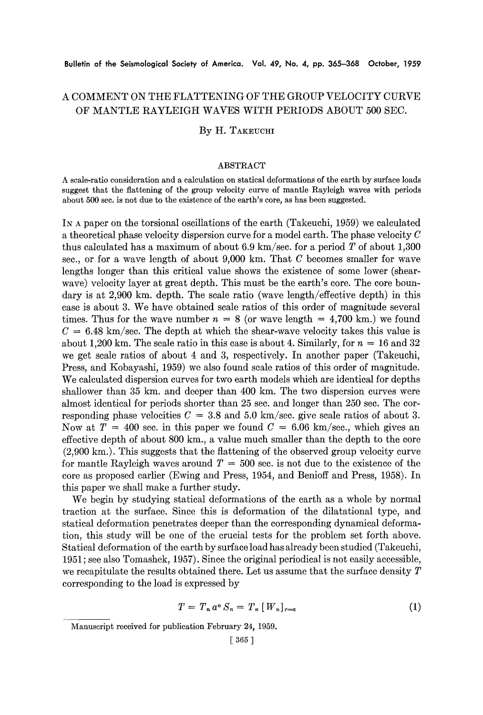# A COMMENT ON THE FLATTENING OF THE GROUP VELOCITY CURVE OF MANTLE RAYLEIGH WAVES WITH PERIODS ABOUT 500 SEC.

## By H. TAKEUCHI

### ABSTRACT

A scale-ratio consideration and a calculation on statical deformations of the earth by surface loads suggest that the flattening of the group velocity curve of mantle Rayleigh waves with periods about 500 sec. is not due to the existence of the earth's core, as has been suggested.

IN A paper on the torsional oscillations of the earth (Takeuchi, 1959) we calculated a theoretical phase velocity dispersion curve for a model earth. The phase velocity C thus calculated has a maximum of about 6.9 km/sec, for a period  $T$  of about 1,300 sec., or for a wave length of about  $9,000$  km. That C becomes smaller for wave lengths longer than this critical value shows the existence of some lower (shearwave) velocity layer at great depth. This must be the earth's core. The core boundary is at 2,900 km. depth. The scale ratio (wave length/effective depth) in this case is about 3. We have obtained scale ratios of this order of magnitude several times. Thus for the wave number  $n = 8$  (or wave length = 4,700 km.) we found  $C = 6.48$  km/sec. The depth at which the shear-wave velocity takes this value is about 1,200 km. The scale ratio in this case is about 4. Similarly, for  $n = 16$  and 32 we get scale ratios of about 4 and 3, respectively. In another paper (Takeuehi, Press, and Kobayashi, 1959) we also found scale ratios of this order of magnitude. We calculated dispersion curves for two earth models which are identical for depths shallower than 35 km. and deeper than 400 km. The two dispersion curves were almost identical for periods shorter than 25 sec. and longer than 250 sec. The corresponding phase velocities  $C = 3.8$  and 5.0 km/sec. give scale ratios of about 3. Now at  $T = 400$  sec. in this paper we found  $C = 6.06$  km/sec., which gives an effective depth of about 800 km., a value much smaller than the depth to the core (2,900 km.). This suggests that the flattening of the observed group velocity curve for mantle Rayleigh waves around  $T = 500$  sec. is not due to the existence of the core as proposed earlier (Ewing and Press, 1954, and Benioff and Press, 1958). In this paper we shall make a further study.

We begin by studying statical deformations of the earth as a whole by normal traction at the surface. Since this is deformation of the dilatational type, and statical deformation penetrates deeper than the corresponding dynamical deformation, this study will be one of the crucial tests for the problem set forth above. Statical deformation of the earth by surface load has already been studied (Takeuchi, 1951; see also Tomashek, 1957). Since the original periodical is not easily accessible, we recapitulate the results obtained there. Let us assume that the surface density  $T$ corresponding to the load is expressed by

$$
T = T_n a^n S_n = T_n [W_n]_{r=a}
$$
 (1)

Manuscript received for publication February 24, 1959.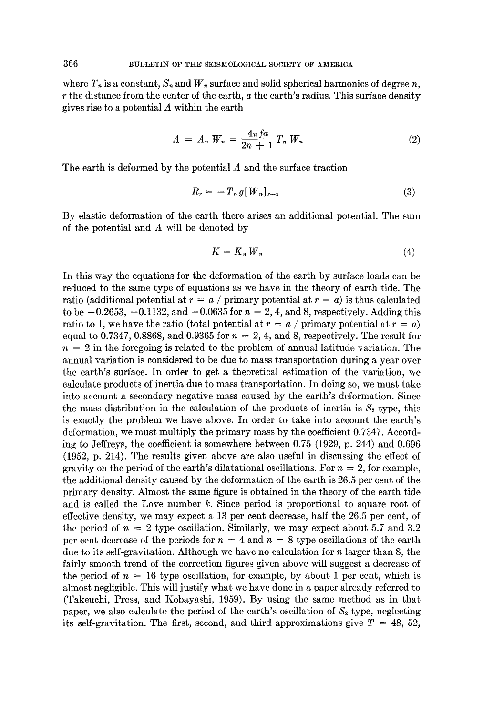where  $T_n$  is a constant,  $S_n$  and  $W_n$  surface and solid spherical harmonics of degree *n*,  $r$  the distance from the center of the earth,  $a$  the earth's radius. This surface density gives rise to a potential A within the earth

$$
A = A_n W_n = \frac{4\pi f a}{2n + 1} T_n W_n
$$
 (2)

The earth is deformed by the potential  $A$  and the surface traction

$$
R_r = -T_n g[W_n]_{r=a} \tag{3}
$$

By elastic deformation of the earth there arises an additional potential. The sum of the potential and A will be denoted by

$$
K = K_n W_n \tag{4}
$$

In this way the equations for the deformation of the earth by surface loads can be reduced to the same type of equations as we have in the theory of earth tide. The ratio (additional potential at  $r = a / \text{primary potential at } r = a$ ) is thus calculated to be  $-0.2653$ ,  $-0.1132$ , and  $-0.0635$  for  $n = 2, 4$ , and 8, respectively. Adding this ratio to 1, we have the ratio (total potential at  $r = a / \text{primary potential at } r = a)$ ) equal to 0.7347, 0.8868, and 0.9365 for  $n = 2, 4$ , and 8, respectively. The result for  $n = 2$  in the foregoing is related to the problem of annual latitude variation. The annual variation is considered to be due to mass transportation during a year over the earth's surface. In order to get a theoretical estimation of the variation, we calculate products of inertia due to mass transportation. In doing so, we must take into account a secondary negative mass caused by the earth's deformation. Since the mass distribution in the calculation of the products of inertia is  $S_2$  type, this is exactly the problem we have above. In order to take into account the earth's deformation, we must multiply the primary mass by the coefficient 0.7347. According to Jeffreys, the coefficient is somewhere between 0.75 (1929, p. 244) and 0.696 (1952, p. 214). The results given above are also useful in discussing the effect of gravity on the period of the earth's dilatational oscillations. For  $n = 2$ , for example, the additional density caused by the deformation of the earth is 26.5 per cent of the primary density. Almost the same figure is obtained in the theory of the earth tide and is called the Love number  $k$ . Since period is proportional to square root of effective density, we may expect a 13 per cent decrease, half the 26.5 per cent, of the period of  $n = 2$  type oscillation. Similarly, we may expect about 5.7 and 3.2 per cent decrease of the periods for  $n = 4$  and  $n = 8$  type oscillations of the earth due to its self-gravitation. Although we have no calculation for n larger than 8, the fairly smooth trend of the correction figures given above will suggest a decrease of the period of  $n = 16$  type oscillation, for example, by about 1 per cent, which is almost negligible. This will justify what we have done in a paper already referred to (Takeuchi, Press, and Kobayashi, 1959). By using the same method as in that paper, we also calculate the period of the earth's oscillation of  $S<sub>2</sub>$  type, neglecting its self-gravitation. The first, second, and third approximations give  $T = 48, 52,$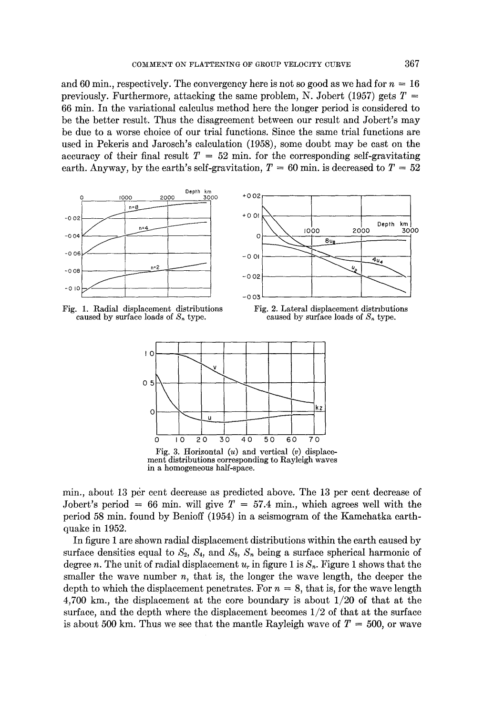and 60 min., respectively. The convergency here is not so good as we had for  $n = 16$ previously. Furthermore, attacking the same problem, N. Jobert (1957) gets  $T =$ **66 min. In the variational calculus method here the longer period is considered to be the better result. Thus the disagreement between our result and Jobert's may be due to a worse choice of our trial functions. Since the same trial functions are used in Pekeris and Jaroseh's calculation (1958), some doubt may be cast on the**  accuracy of their final result  $T = 52$  min. for the corresponding self-gravitating earth. Anyway, by the earth's self-gravitation,  $T = 60$  min. is decreased to  $T = 52$ 



Fig. 1. **Radial displacement distributions**  caused by surface loads of  $S_n$  type.





**in a homogeneous half-space.** 

min., about 13 per cent decrease as predicted above. The 13 per cent decrease of Jobert's period = 66 min. will give  $T = 57.4$  min., which agrees well with the **period 58 min. found by Benioff (1954) in a seismogram of the Kamchatka earthquake in 1952.** 

**In figure 1 are shown radial displacement distributions within the earth caused by**  surface densities equal to  $S_2$ ,  $S_4$ , and  $S_8$ ,  $S_n$  being a surface spherical harmonic of degree n. The unit of radial displacement  $u_r$  in figure 1 is  $S_n$ . Figure 1 shows that the smaller the wave number  $n$ , that is, the longer the wave length, the deeper the depth to which the displacement penetrates. For  $n = 8$ , that is, for the wave length **4,700 km., the displacement at the core boundary is about 1/20 of that at the surface, and the depth where the displacement becomes** *1/2* **of that at the surface**  is about 500 km. Thus we see that the mantle Rayleigh wave of  $T = 500$ , or wave